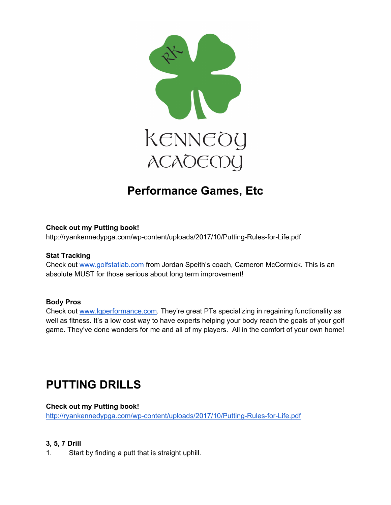

# **Performance Games, Etc**

### **Check out my Putting book!**

http://ryankennedypga.com/wp-content/uploads/2017/10/Putting-Rules-for-Life.pdf

#### **Stat Tracking**

Check out www.golfstatlab.com from Jordan Speith's coach, Cameron McCormick. This is an absolute MUST for those serious about long term improvement!

#### **Body Pros**

Check out www.lgperformance.com. They're great PTs specializing in regaining functionality as well as fitness. It's a low cost way to have experts helping your body reach the goals of your golf game. They've done wonders for me and all of my players. All in the comfort of your own home!

## **PUTTING DRILLS**

#### **Check out my Putting book!**

http://ryankennedypga.com/wp-content/uploads/2017/10/Putting-Rules-for-Life.pdf

### **3, 5, 7 Drill**

1. Start by finding a putt that is straight uphill.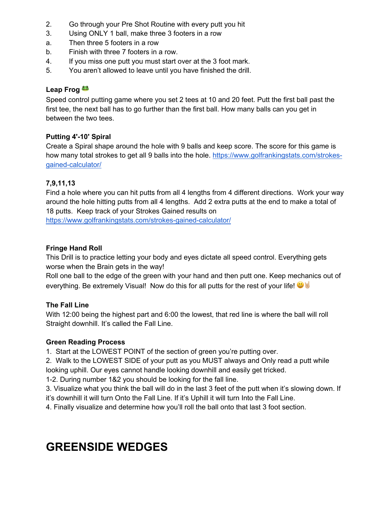- 2. Go through your Pre Shot Routine with every putt you hit
- 3. Using ONLY 1 ball, make three 3 footers in a row
- a. Then three 5 footers in a row
- b. Finish with three 7 footers in a row.
- 4. If you miss one putt you must start over at the 3 foot mark.
- 5. You aren't allowed to leave until you have finished the drill.

### **Leap Frog**

Speed control putting game where you set 2 tees at 10 and 20 feet. Putt the first ball past the first tee, the next ball has to go further than the first ball. How many balls can you get in between the two tees.

### **Putting 4'-10' Spiral**

Create a Spiral shape around the hole with 9 balls and keep score. The score for this game is how many total strokes to get all 9 balls into the hole. https://www.golfrankingstats.com/strokesgained-calculator/

### **7,9,11,13**

Find a hole where you can hit putts from all 4 lengths from 4 different directions. Work your way around the hole hitting putts from all 4 lengths. Add 2 extra putts at the end to make a total of 18 putts. Keep track of your Strokes Gained results on https://www.golfrankingstats.com/strokes-gained-calculator/

### **Fringe Hand Roll**

This Drill is to practice letting your body and eyes dictate all speed control. Everything gets worse when the Brain gets in the way!

Roll one ball to the edge of the green with your hand and then putt one. Keep mechanics out of everything. Be extremely Visual! Now do this for all putts for the rest of your life!

### **The Fall Line**

With 12:00 being the highest part and 6:00 the lowest, that red line is where the ball will roll Straight downhill. It's called the Fall Line.

### **Green Reading Process**

1. Start at the LOWEST POINT of the section of green you're putting over.

2. Walk to the LOWEST SIDE of your putt as you MUST always and Only read a putt while looking uphill. Our eyes cannot handle looking downhill and easily get tricked.

1-2. During number 1&2 you should be looking for the fall line.

3. Visualize what you think the ball will do in the last 3 feet of the putt when it's slowing down. If it's downhill it will turn Onto the Fall Line. If it's Uphill it will turn Into the Fall Line.

4. Finally visualize and determine how you'll roll the ball onto that last 3 foot section.

## **GREENSIDE WEDGES**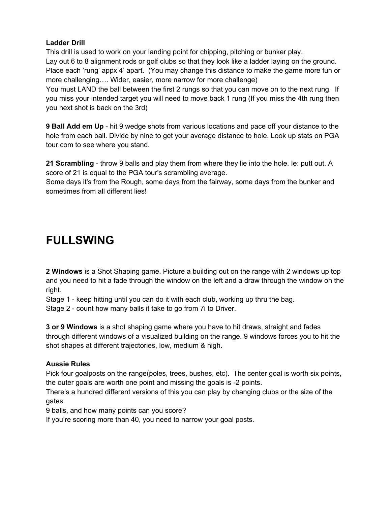#### **Ladder Drill**

This drill is used to work on your landing point for chipping, pitching or bunker play. Lay out 6 to 8 alignment rods or golf clubs so that they look like a ladder laying on the ground. Place each 'rung' appx 4' apart. (You may change this distance to make the game more fun or more challenging…. Wider, easier, more narrow for more challenge)

You must LAND the ball between the first 2 rungs so that you can move on to the next rung. If you miss your intended target you will need to move back 1 rung (If you miss the 4th rung then you next shot is back on the 3rd)

**9 Ball Add em Up** - hit 9 wedge shots from various locations and pace off your distance to the hole from each ball. Divide by nine to get your average distance to hole. Look up stats on PGA tour.com to see where you stand.

**21 Scrambling** - throw 9 balls and play them from where they lie into the hole. Ie: putt out. A score of 21 is equal to the PGA tour's scrambling average.

Some days it's from the Rough, some days from the fairway, some days from the bunker and sometimes from all different lies!

## **FULLSWING**

**2 Windows** is a Shot Shaping game. Picture a building out on the range with 2 windows up top and you need to hit a fade through the window on the left and a draw through the window on the right.

Stage 1 - keep hitting until you can do it with each club, working up thru the bag.

Stage 2 - count how many balls it take to go from 7i to Driver.

**3 or 9 Windows** is a shot shaping game where you have to hit draws, straight and fades through different windows of a visualized building on the range. 9 windows forces you to hit the shot shapes at different trajectories, low, medium & high.

### **Aussie Rules**

Pick four goalposts on the range(poles, trees, bushes, etc). The center goal is worth six points, the outer goals are worth one point and missing the goals is -2 points.

There's a hundred different versions of this you can play by changing clubs or the size of the gates.

9 balls, and how many points can you score?

If you're scoring more than 40, you need to narrow your goal posts.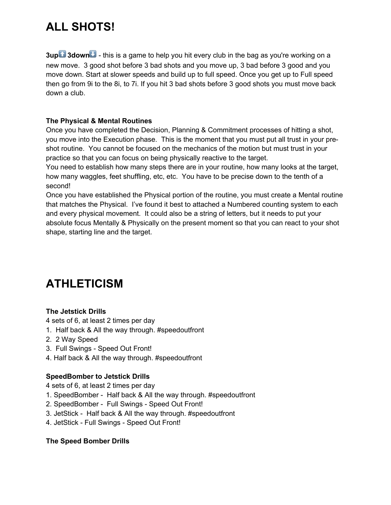# **ALL SHOTS!**

**3up**⬆ **3down**⬇ - this is a game to help you hit every club in the bag as you're working on a new move. 3 good shot before 3 bad shots and you move up, 3 bad before 3 good and you move down. Start at slower speeds and build up to full speed. Once you get up to Full speed then go from 9i to the 8i, to 7i. If you hit 3 bad shots before 3 good shots you must move back down a club.

#### **The Physical & Mental Routines**

Once you have completed the Decision, Planning & Commitment processes of hitting a shot, you move into the Execution phase. This is the moment that you must put all trust in your preshot routine. You cannot be focused on the mechanics of the motion but must trust in your practice so that you can focus on being physically reactive to the target.

You need to establish how many steps there are in your routine, how many looks at the target, how many waggles, feet shuffling, etc, etc. You have to be precise down to the tenth of a second!

Once you have established the Physical portion of the routine, you must create a Mental routine that matches the Physical. I've found it best to attached a Numbered counting system to each and every physical movement. It could also be a string of letters, but it needs to put your absolute focus Mentally & Physically on the present moment so that you can react to your shot shape, starting line and the target.

## **ATHLETICISM**

### **The Jetstick Drills**

4 sets of 6, at least 2 times per day

- 1. Half back & All the way through. #speedoutfront
- 2. 2 Way Speed
- 3. Full Swings Speed Out Front!
- 4. Half back & All the way through. #speedoutfront

### **SpeedBomber to Jetstick Drills**

- 4 sets of 6, at least 2 times per day
- 1. SpeedBomber Half back & All the way through. #speedoutfront
- 2. SpeedBomber Full Swings Speed Out Front!
- 3. JetStick Half back & All the way through. #speedoutfront
- 4. JetStick Full Swings Speed Out Front!

#### **The Speed Bomber Drills**